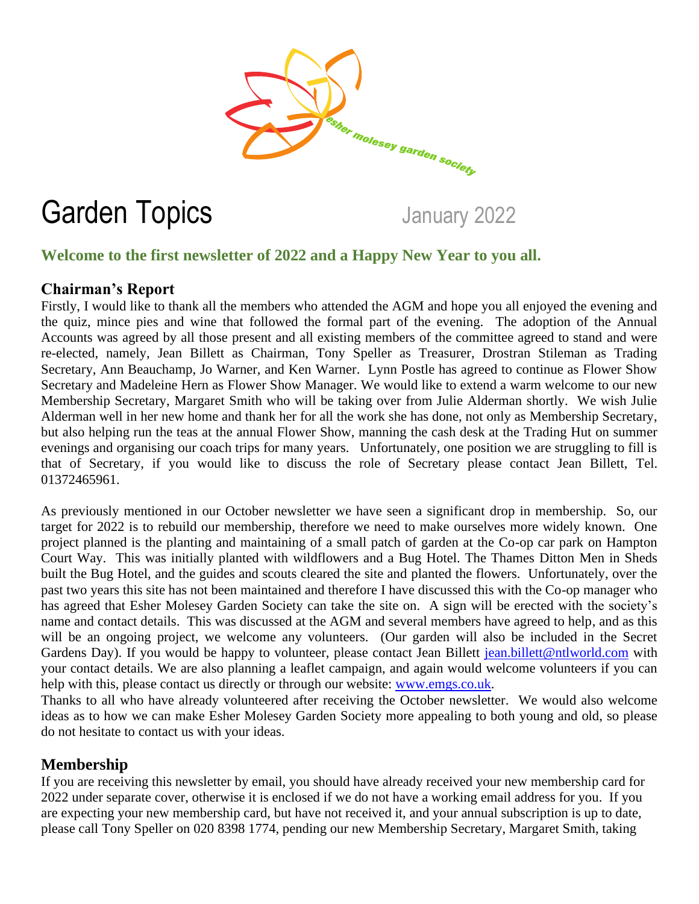

# Garden Topics January 2022

# **Welcome to the first newsletter of 2022 and a Happy New Year to you all.**

## **Chairman's Report**

Firstly, I would like to thank all the members who attended the AGM and hope you all enjoyed the evening and the quiz, mince pies and wine that followed the formal part of the evening. The adoption of the Annual Accounts was agreed by all those present and all existing members of the committee agreed to stand and were re-elected, namely, Jean Billett as Chairman, Tony Speller as Treasurer, Drostran Stileman as Trading Secretary, Ann Beauchamp, Jo Warner, and Ken Warner. Lynn Postle has agreed to continue as Flower Show Secretary and Madeleine Hern as Flower Show Manager. We would like to extend a warm welcome to our new Membership Secretary, Margaret Smith who will be taking over from Julie Alderman shortly. We wish Julie Alderman well in her new home and thank her for all the work she has done, not only as Membership Secretary, but also helping run the teas at the annual Flower Show, manning the cash desk at the Trading Hut on summer evenings and organising our coach trips for many years. Unfortunately, one position we are struggling to fill is that of Secretary, if you would like to discuss the role of Secretary please contact Jean Billett, Tel. 01372465961.

As previously mentioned in our October newsletter we have seen a significant drop in membership. So, our target for 2022 is to rebuild our membership, therefore we need to make ourselves more widely known. One project planned is the planting and maintaining of a small patch of garden at the Co-op car park on Hampton Court Way. This was initially planted with wildflowers and a Bug Hotel. The Thames Ditton Men in Sheds built the Bug Hotel, and the guides and scouts cleared the site and planted the flowers. Unfortunately, over the past two years this site has not been maintained and therefore I have discussed this with the Co-op manager who has agreed that Esher Molesey Garden Society can take the site on. A sign will be erected with the society's name and contact details. This was discussed at the AGM and several members have agreed to help, and as this will be an ongoing project, we welcome any volunteers. (Our garden will also be included in the Secret Gardens Day). If you would be happy to volunteer, please contact Jean Billett [jean.billett@ntlworld.com](mailto:jean.billett@ntlworld.com) with your contact details. We are also planning a leaflet campaign, and again would welcome volunteers if you can help with this, please contact us directly or through our website: [www.emgs.co.uk.](http://www.emgs.co.uk/)

Thanks to all who have already volunteered after receiving the October newsletter. We would also welcome ideas as to how we can make Esher Molesey Garden Society more appealing to both young and old, so please do not hesitate to contact us with your ideas.

# **Membership**

If you are receiving this newsletter by email, you should have already received your new membership card for 2022 under separate cover, otherwise it is enclosed if we do not have a working email address for you. If you are expecting your new membership card, but have not received it, and your annual subscription is up to date, please call Tony Speller on 020 8398 1774, pending our new Membership Secretary, Margaret Smith, taking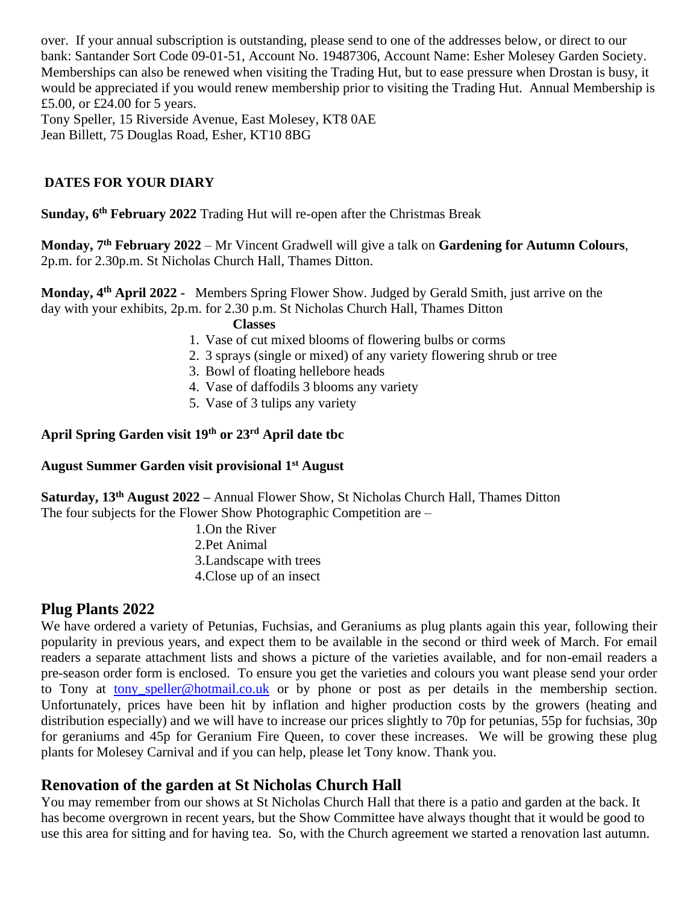over. If your annual subscription is outstanding, please send to one of the addresses below, or direct to our bank: Santander Sort Code 09-01-51, Account No. 19487306, Account Name: Esher Molesey Garden Society. Memberships can also be renewed when visiting the Trading Hut, but to ease pressure when Drostan is busy, it would be appreciated if you would renew membership prior to visiting the Trading Hut. Annual Membership is £5.00, or £24.00 for 5 years. Tony Speller, 15 Riverside Avenue, East Molesey, KT8 0AE

Jean Billett, 75 Douglas Road, Esher, KT10 8BG

#### **DATES FOR YOUR DIARY**

**Sunday, 6 th February 2022** Trading Hut will re-open after the Christmas Break

**Monday, 7 th February 2022** – Mr Vincent Gradwell will give a talk on **Gardening for Autumn Colours**, 2p.m. for 2.30p.m. St Nicholas Church Hall, Thames Ditton.

**Monday, 4th April 2022 -** Members Spring Flower Show. Judged by Gerald Smith, just arrive on the day with your exhibits, 2p.m. for 2.30 p.m. St Nicholas Church Hall, Thames Ditton

**Classes**

- 1. Vase of cut mixed blooms of flowering bulbs or corms
- 2. 3 sprays (single or mixed) of any variety flowering shrub or tree
- 3. Bowl of floating hellebore heads
- 4. Vase of daffodils 3 blooms any variety
- 5. Vase of 3 tulips any variety

## **April Spring Garden visit 19th or 23rd April date tbc**

#### **August Summer Garden visit provisional 1st August**

**Saturday, 13th August 2022 –** Annual Flower Show, St Nicholas Church Hall, Thames Ditton The four subjects for the Flower Show Photographic Competition are –

> 1.On the River 2.Pet Animal 3.Landscape with trees 4.Close up of an insect

## **Plug Plants 2022**

We have ordered a variety of Petunias, Fuchsias, and Geraniums as plug plants again this year, following their popularity in previous years, and expect them to be available in the second or third week of March. For email readers a separate attachment lists and shows a picture of the varieties available, and for non-email readers a pre-season order form is enclosed. To ensure you get the varieties and colours you want please send your order to Tony at [tony\\_speller@hotmail.co.uk](mailto:tony_speller@hotmail.co.uk) or by phone or post as per details in the membership section. Unfortunately, prices have been hit by inflation and higher production costs by the growers (heating and distribution especially) and we will have to increase our prices slightly to 70p for petunias, 55p for fuchsias, 30p for geraniums and 45p for Geranium Fire Queen, to cover these increases. We will be growing these plug plants for Molesey Carnival and if you can help, please let Tony know. Thank you.

## **Renovation of the garden at St Nicholas Church Hall**

You may remember from our shows at St Nicholas Church Hall that there is a patio and garden at the back. It has become overgrown in recent years, but the Show Committee have always thought that it would be good to use this area for sitting and for having tea. So, with the Church agreement we started a renovation last autumn.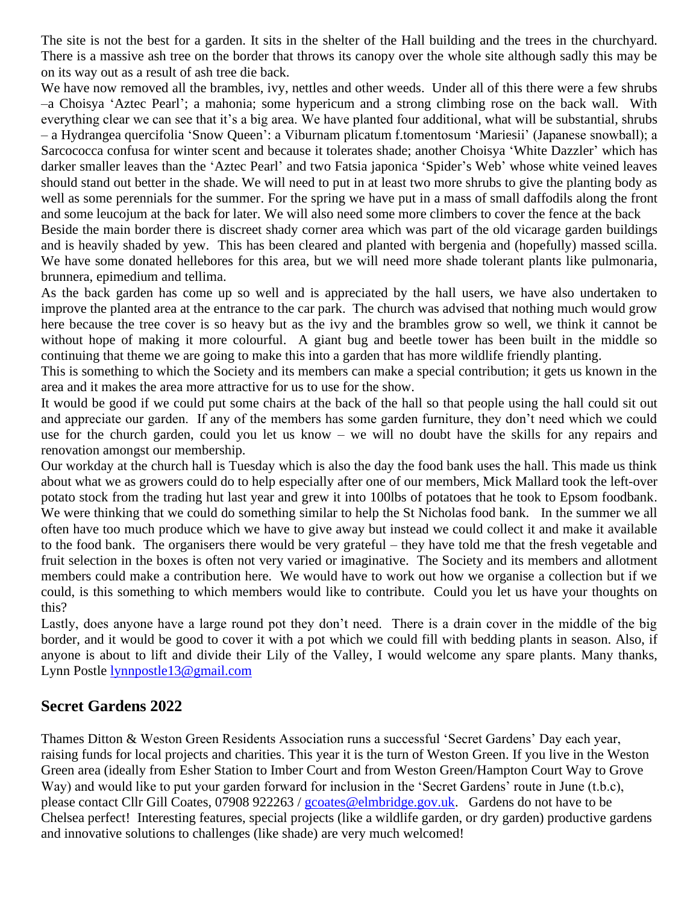The site is not the best for a garden. It sits in the shelter of the Hall building and the trees in the churchyard. There is a massive ash tree on the border that throws its canopy over the whole site although sadly this may be on its way out as a result of ash tree die back.

We have now removed all the brambles, ivy, nettles and other weeds. Under all of this there were a few shrubs –a Choisya 'Aztec Pearl'; a mahonia; some hypericum and a strong climbing rose on the back wall. With everything clear we can see that it's a big area. We have planted four additional, what will be substantial, shrubs – a Hydrangea quercifolia 'Snow Queen': a Viburnam plicatum f.tomentosum 'Mariesii' (Japanese snowball); a Sarcococca confusa for winter scent and because it tolerates shade; another Choisya 'White Dazzler' which has darker smaller leaves than the 'Aztec Pearl' and two Fatsia japonica 'Spider's Web' whose white veined leaves should stand out better in the shade. We will need to put in at least two more shrubs to give the planting body as well as some perennials for the summer. For the spring we have put in a mass of small daffodils along the front and some leucojum at the back for later. We will also need some more climbers to cover the fence at the back Beside the main border there is discreet shady corner area which was part of the old vicarage garden buildings

and is heavily shaded by yew. This has been cleared and planted with bergenia and (hopefully) massed scilla. We have some donated hellebores for this area, but we will need more shade tolerant plants like pulmonaria, brunnera, epimedium and tellima.

As the back garden has come up so well and is appreciated by the hall users, we have also undertaken to improve the planted area at the entrance to the car park. The church was advised that nothing much would grow here because the tree cover is so heavy but as the ivy and the brambles grow so well, we think it cannot be without hope of making it more colourful. A giant bug and beetle tower has been built in the middle so continuing that theme we are going to make this into a garden that has more wildlife friendly planting.

This is something to which the Society and its members can make a special contribution; it gets us known in the area and it makes the area more attractive for us to use for the show.

It would be good if we could put some chairs at the back of the hall so that people using the hall could sit out and appreciate our garden. If any of the members has some garden furniture, they don't need which we could use for the church garden, could you let us know – we will no doubt have the skills for any repairs and renovation amongst our membership.

Our workday at the church hall is Tuesday which is also the day the food bank uses the hall. This made us think about what we as growers could do to help especially after one of our members, Mick Mallard took the left-over potato stock from the trading hut last year and grew it into 100lbs of potatoes that he took to Epsom foodbank. We were thinking that we could do something similar to help the St Nicholas food bank. In the summer we all often have too much produce which we have to give away but instead we could collect it and make it available to the food bank. The organisers there would be very grateful – they have told me that the fresh vegetable and fruit selection in the boxes is often not very varied or imaginative. The Society and its members and allotment members could make a contribution here. We would have to work out how we organise a collection but if we could, is this something to which members would like to contribute. Could you let us have your thoughts on this?

Lastly, does anyone have a large round pot they don't need. There is a drain cover in the middle of the big border, and it would be good to cover it with a pot which we could fill with bedding plants in season. Also, if anyone is about to lift and divide their Lily of the Valley, I would welcome any spare plants. Many thanks, Lynn Postle [lynnpostle13@gmail.com](mailto:lynnpostle13@gmail.com)

# **Secret Gardens 2022**

Thames Ditton & Weston Green Residents Association runs a successful 'Secret Gardens' Day each year, raising funds for local projects and charities. This year it is the turn of Weston Green. If you live in the Weston Green area (ideally from Esher Station to Imber Court and from Weston Green/Hampton Court Way to Grove Way) and would like to put your garden forward for inclusion in the 'Secret Gardens' route in June (t.b.c), please contact Cllr Gill Coates, 07908 922263 / [gcoates@elmbridge.gov.uk.](mailto:gcoates@elmbridge.gov.uk) Gardens do not have to be Chelsea perfect! Interesting features, special projects (like a wildlife garden, or dry garden) productive gardens and innovative solutions to challenges (like shade) are very much welcomed!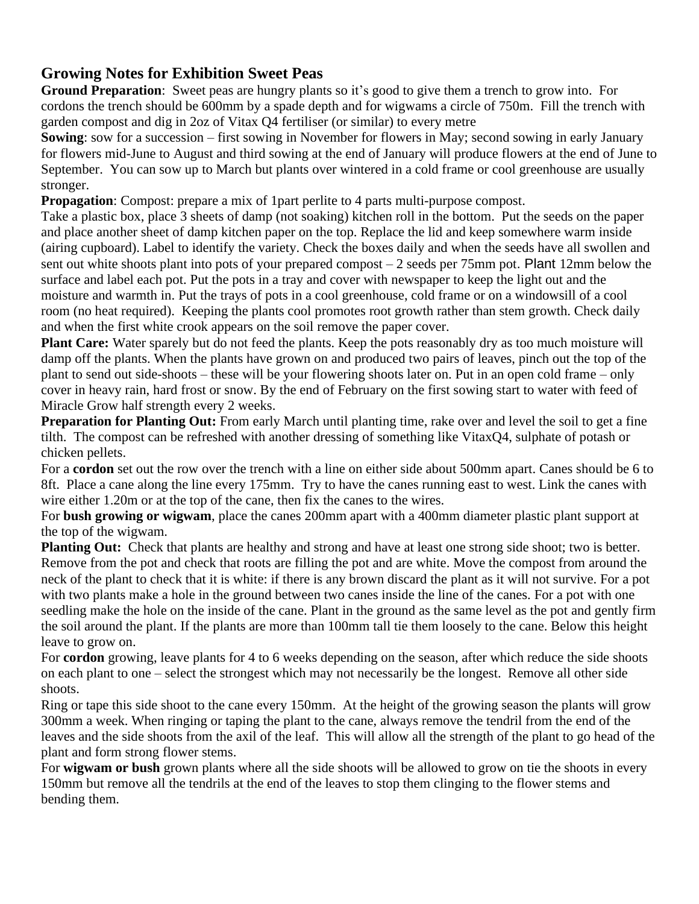# **Growing Notes for Exhibition Sweet Peas**

**Ground Preparation**: Sweet peas are hungry plants so it's good to give them a trench to grow into. For cordons the trench should be 600mm by a spade depth and for wigwams a circle of 750m. Fill the trench with garden compost and dig in 2oz of Vitax Q4 fertiliser (or similar) to every metre

**Sowing**: sow for a succession – first sowing in November for flowers in May; second sowing in early January for flowers mid-June to August and third sowing at the end of January will produce flowers at the end of June to September. You can sow up to March but plants over wintered in a cold frame or cool greenhouse are usually stronger.

**Propagation**: Compost: prepare a mix of 1part perlite to 4 parts multi-purpose compost.

Take a plastic box, place 3 sheets of damp (not soaking) kitchen roll in the bottom. Put the seeds on the paper and place another sheet of damp kitchen paper on the top. Replace the lid and keep somewhere warm inside (airing cupboard). Label to identify the variety. Check the boxes daily and when the seeds have all swollen and sent out white shoots plant into pots of your prepared compost – 2 seeds per 75mm pot. Plant 12mm below the surface and label each pot. Put the pots in a tray and cover with newspaper to keep the light out and the moisture and warmth in. Put the trays of pots in a cool greenhouse, cold frame or on a windowsill of a cool room (no heat required). Keeping the plants cool promotes root growth rather than stem growth. Check daily and when the first white crook appears on the soil remove the paper cover.

**Plant Care:** Water sparely but do not feed the plants. Keep the pots reasonably dry as too much moisture will damp off the plants. When the plants have grown on and produced two pairs of leaves, pinch out the top of the plant to send out side-shoots – these will be your flowering shoots later on. Put in an open cold frame – only cover in heavy rain, hard frost or snow. By the end of February on the first sowing start to water with feed of Miracle Grow half strength every 2 weeks.

**Preparation for Planting Out:** From early March until planting time, rake over and level the soil to get a fine tilth. The compost can be refreshed with another dressing of something like VitaxQ4, sulphate of potash or chicken pellets.

For a **cordon** set out the row over the trench with a line on either side about 500mm apart. Canes should be 6 to 8ft. Place a cane along the line every 175mm. Try to have the canes running east to west. Link the canes with wire either 1.20m or at the top of the cane, then fix the canes to the wires.

For **bush growing or wigwam**, place the canes 200mm apart with a 400mm diameter plastic plant support at the top of the wigwam.

**Planting Out:** Check that plants are healthy and strong and have at least one strong side shoot; two is better. Remove from the pot and check that roots are filling the pot and are white. Move the compost from around the neck of the plant to check that it is white: if there is any brown discard the plant as it will not survive. For a pot with two plants make a hole in the ground between two canes inside the line of the canes. For a pot with one seedling make the hole on the inside of the cane. Plant in the ground as the same level as the pot and gently firm the soil around the plant. If the plants are more than 100mm tall tie them loosely to the cane. Below this height leave to grow on.

For **cordon** growing, leave plants for 4 to 6 weeks depending on the season, after which reduce the side shoots on each plant to one – select the strongest which may not necessarily be the longest. Remove all other side shoots.

Ring or tape this side shoot to the cane every 150mm. At the height of the growing season the plants will grow 300mm a week. When ringing or taping the plant to the cane, always remove the tendril from the end of the leaves and the side shoots from the axil of the leaf. This will allow all the strength of the plant to go head of the plant and form strong flower stems.

For **wigwam or bush** grown plants where all the side shoots will be allowed to grow on tie the shoots in every 150mm but remove all the tendrils at the end of the leaves to stop them clinging to the flower stems and bending them.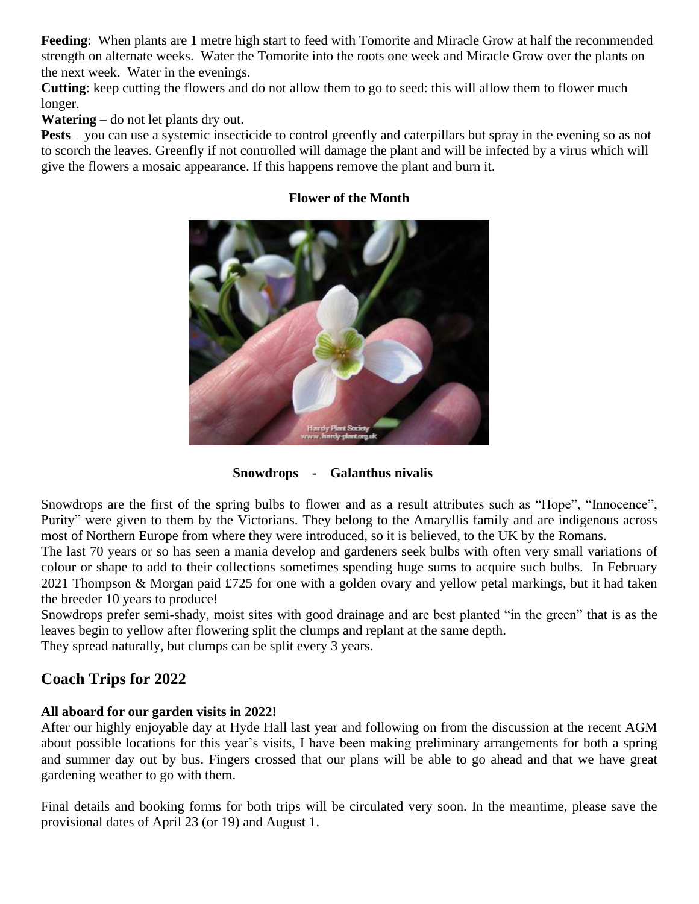**Feeding**: When plants are 1 metre high start to feed with Tomorite and Miracle Grow at half the recommended strength on alternate weeks. Water the Tomorite into the roots one week and Miracle Grow over the plants on the next week. Water in the evenings.

**Cutting**: keep cutting the flowers and do not allow them to go to seed: this will allow them to flower much longer.

**Watering** – do not let plants dry out.

**Pests** – you can use a systemic insecticide to control greenfly and caterpillars but spray in the evening so as not to scorch the leaves. Greenfly if not controlled will damage the plant and will be infected by a virus which will give the flowers a mosaic appearance. If this happens remove the plant and burn it.



#### **Flower of the Month**

**Snowdrops - Galanthus nivalis**

Snowdrops are the first of the spring bulbs to flower and as a result attributes such as "Hope", "Innocence", Purity" were given to them by the Victorians. They belong to the Amaryllis family and are indigenous across most of Northern Europe from where they were introduced, so it is believed, to the UK by the Romans.

The last 70 years or so has seen a mania develop and gardeners seek bulbs with often very small variations of colour or shape to add to their collections sometimes spending huge sums to acquire such bulbs. In February 2021 Thompson & Morgan paid £725 for one with a golden ovary and yellow petal markings, but it had taken the breeder 10 years to produce!

Snowdrops prefer semi-shady, moist sites with good drainage and are best planted "in the green" that is as the leaves begin to yellow after flowering split the clumps and replant at the same depth.

They spread naturally, but clumps can be split every 3 years.

# **Coach Trips for 2022**

#### **All aboard for our garden visits in 2022!**

After our highly enjoyable day at Hyde Hall last year and following on from the discussion at the recent AGM about possible locations for this year's visits, I have been making preliminary arrangements for both a spring and summer day out by bus. Fingers crossed that our plans will be able to go ahead and that we have great gardening weather to go with them.

Final details and booking forms for both trips will be circulated very soon. In the meantime, please save the provisional dates of April 23 (or 19) and August 1.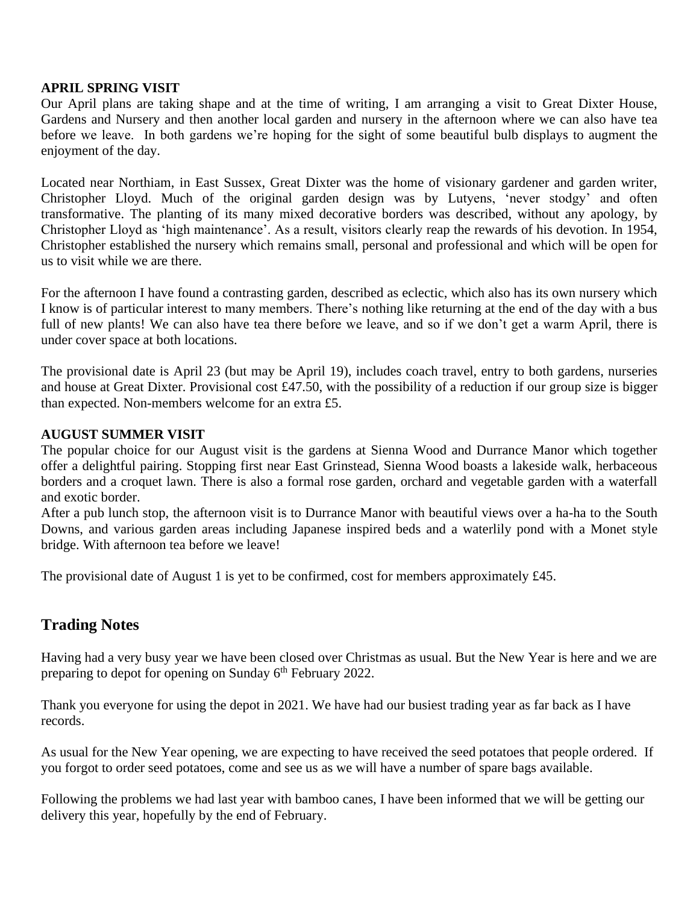#### **APRIL SPRING VISIT**

Our April plans are taking shape and at the time of writing, I am arranging a visit to Great Dixter House, Gardens and Nursery and then another local garden and nursery in the afternoon where we can also have tea before we leave. In both gardens we're hoping for the sight of some beautiful bulb displays to augment the enjoyment of the day.

Located near Northiam, in East Sussex, Great Dixter was the home of visionary gardener and garden writer, Christopher Lloyd. Much of the original garden design was by Lutyens, 'never stodgy' and often transformative. The planting of its many mixed decorative borders was described, without any apology, by Christopher Lloyd as 'high maintenance'. As a result, visitors clearly reap the rewards of his devotion. In 1954, Christopher established the nursery which remains small, personal and professional and which will be open for us to visit while we are there.

For the afternoon I have found a contrasting garden, described as eclectic, which also has its own nursery which I know is of particular interest to many members. There's nothing like returning at the end of the day with a bus full of new plants! We can also have tea there before we leave, and so if we don't get a warm April, there is under cover space at both locations.

The provisional date is April 23 (but may be April 19), includes coach travel, entry to both gardens, nurseries and house at Great Dixter. Provisional cost £47.50, with the possibility of a reduction if our group size is bigger than expected. Non-members welcome for an extra £5.

#### **AUGUST SUMMER VISIT**

The popular choice for our August visit is the gardens at Sienna Wood and Durrance Manor which together offer a delightful pairing. Stopping first near East Grinstead, Sienna Wood boasts a lakeside walk, herbaceous borders and a croquet lawn. There is also a formal rose garden, orchard and vegetable garden with a waterfall and exotic border.

After a pub lunch stop, the afternoon visit is to Durrance Manor with beautiful views over a ha-ha to the South Downs, and various garden areas including Japanese inspired beds and a waterlily pond with a Monet style bridge. With afternoon tea before we leave!

The provisional date of August 1 is yet to be confirmed, cost for members approximately £45.

# **Trading Notes**

Having had a very busy year we have been closed over Christmas as usual. But the New Year is here and we are preparing to depot for opening on Sunday 6<sup>th</sup> February 2022.

Thank you everyone for using the depot in 2021. We have had our busiest trading year as far back as I have records.

As usual for the New Year opening, we are expecting to have received the seed potatoes that people ordered. If you forgot to order seed potatoes, come and see us as we will have a number of spare bags available.

Following the problems we had last year with bamboo canes, I have been informed that we will be getting our delivery this year, hopefully by the end of February.